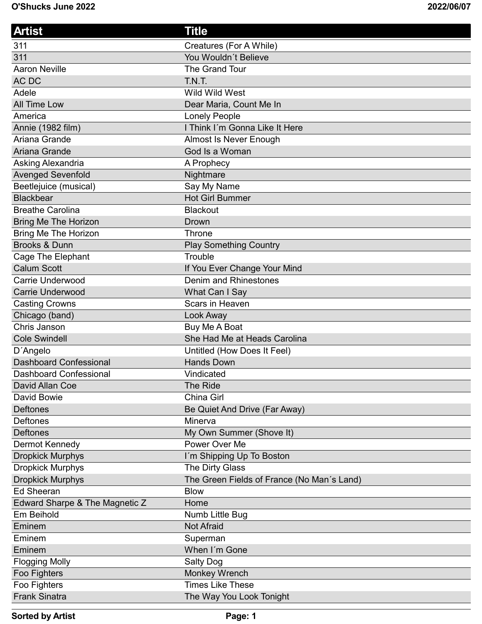| <b>Artist</b>                  | Title                                      |
|--------------------------------|--------------------------------------------|
| 311                            | Creatures (For A While)                    |
| 311                            | You Wouldn't Believe                       |
| <b>Aaron Neville</b>           | The Grand Tour                             |
| AC DC                          | T.N.T.                                     |
| Adele                          | Wild Wild West                             |
| <b>All Time Low</b>            | Dear Maria, Count Me In                    |
| America                        | Lonely People                              |
| Annie (1982 film)              | I Think I'm Gonna Like It Here             |
| Ariana Grande                  | Almost Is Never Enough                     |
| Ariana Grande                  | God Is a Woman                             |
| Asking Alexandria              | A Prophecy                                 |
| <b>Avenged Sevenfold</b>       | Nightmare                                  |
| Beetlejuice (musical)          | Say My Name                                |
| <b>Blackbear</b>               | <b>Hot Girl Bummer</b>                     |
| <b>Breathe Carolina</b>        | <b>Blackout</b>                            |
| <b>Bring Me The Horizon</b>    | Drown                                      |
| <b>Bring Me The Horizon</b>    | Throne                                     |
| <b>Brooks &amp; Dunn</b>       | <b>Play Something Country</b>              |
| <b>Cage The Elephant</b>       | Trouble                                    |
| <b>Calum Scott</b>             | If You Ever Change Your Mind               |
| <b>Carrie Underwood</b>        | Denim and Rhinestones                      |
| <b>Carrie Underwood</b>        | What Can I Say                             |
| <b>Casting Crowns</b>          | Scars in Heaven                            |
| Chicago (band)                 | Look Away                                  |
| Chris Janson                   | Buy Me A Boat                              |
| <b>Cole Swindell</b>           | She Had Me at Heads Carolina               |
| D'Angelo                       | Untitled (How Does It Feel)                |
| <b>Dashboard Confessional</b>  | <b>Hands Down</b>                          |
| <b>Dashboard Confessional</b>  | Vindicated                                 |
| David Allan Coe                | <b>The Ride</b>                            |
| David Bowie                    | China Girl                                 |
| <b>Deftones</b>                | Be Quiet And Drive (Far Away)              |
| <b>Deftones</b>                | Minerva                                    |
| <b>Deftones</b>                | My Own Summer (Shove It)                   |
| Dermot Kennedy                 | Power Over Me                              |
| <b>Dropkick Murphys</b>        | I'm Shipping Up To Boston                  |
| <b>Dropkick Murphys</b>        | The Dirty Glass                            |
| <b>Dropkick Murphys</b>        | The Green Fields of France (No Man's Land) |
| <b>Ed Sheeran</b>              | <b>Blow</b>                                |
| Edward Sharpe & The Magnetic Z | Home                                       |
| Em Beihold                     | Numb Little Bug                            |
| Eminem                         | <b>Not Afraid</b>                          |
| Eminem                         | Superman                                   |
| Eminem                         | When I'm Gone                              |
| <b>Flogging Molly</b>          | Salty Dog                                  |
| Foo Fighters                   | <b>Monkey Wrench</b>                       |
| Foo Fighters                   | <b>Times Like These</b>                    |
| <b>Frank Sinatra</b>           | The Way You Look Tonight                   |

```
Sorted by Artist Page: 1
```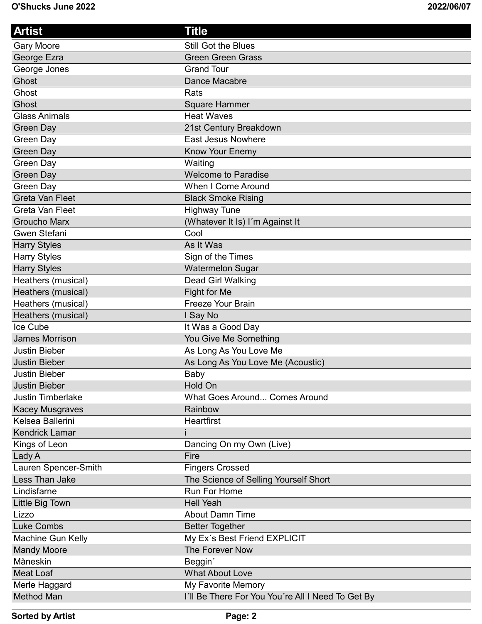| <b>Artist</b>            | Title                                             |
|--------------------------|---------------------------------------------------|
| <b>Gary Moore</b>        | Still Got the Blues                               |
| George Ezra              | <b>Green Green Grass</b>                          |
| George Jones             | <b>Grand Tour</b>                                 |
| Ghost                    | Dance Macabre                                     |
| Ghost                    | Rats                                              |
| Ghost                    | Square Hammer                                     |
| <b>Glass Animals</b>     | <b>Heat Waves</b>                                 |
| Green Day                | 21st Century Breakdown                            |
| Green Day                | <b>East Jesus Nowhere</b>                         |
| Green Day                | Know Your Enemy                                   |
| Green Day                | Waiting                                           |
| Green Day                | <b>Welcome to Paradise</b>                        |
| Green Day                | <b>When I Come Around</b>                         |
| <b>Greta Van Fleet</b>   | <b>Black Smoke Rising</b>                         |
| Greta Van Fleet          | <b>Highway Tune</b>                               |
| <b>Groucho Marx</b>      | (Whatever It Is) I'm Against It                   |
| Gwen Stefani             | Cool                                              |
| <b>Harry Styles</b>      | As It Was                                         |
| <b>Harry Styles</b>      | Sign of the Times                                 |
| <b>Harry Styles</b>      | <b>Watermelon Sugar</b>                           |
| Heathers (musical)       | Dead Girl Walking                                 |
| Heathers (musical)       | Fight for Me                                      |
| Heathers (musical)       | <b>Freeze Your Brain</b>                          |
| Heathers (musical)       | I Say No                                          |
| Ice Cube                 | It Was a Good Day                                 |
| <b>James Morrison</b>    | You Give Me Something                             |
| <b>Justin Bieber</b>     | As Long As You Love Me                            |
| <b>Justin Bieber</b>     | As Long As You Love Me (Acoustic)                 |
| <b>Justin Bieber</b>     | Baby                                              |
| <b>Justin Bieber</b>     | Hold On                                           |
| <b>Justin Timberlake</b> | <b>What Goes Around Comes Around</b>              |
| <b>Kacey Musgraves</b>   | Rainbow                                           |
| Kelsea Ballerini         | <b>Heartfirst</b>                                 |
| <b>Kendrick Lamar</b>    |                                                   |
| Kings of Leon            | Dancing On my Own (Live)                          |
| Lady A                   | Fire                                              |
| Lauren Spencer-Smith     | <b>Fingers Crossed</b>                            |
| Less Than Jake           | The Science of Selling Yourself Short             |
| Lindisfarne              | <b>Run For Home</b>                               |
| Little Big Town          | <b>Hell Yeah</b>                                  |
| Lizzo                    | <b>About Damn Time</b>                            |
| <b>Luke Combs</b>        | <b>Better Together</b>                            |
| Machine Gun Kelly        | My Ex's Best Friend EXPLICIT                      |
| <b>Mandy Moore</b>       | The Forever Now                                   |
| Måneskin                 | Beggin'                                           |
| <b>Meat Loaf</b>         | <b>What About Love</b>                            |
| Merle Haggard            | My Favorite Memory                                |
| Method Man               | I'll Be There For You You're All I Need To Get By |

```
Sorted by Artist Page: 2
```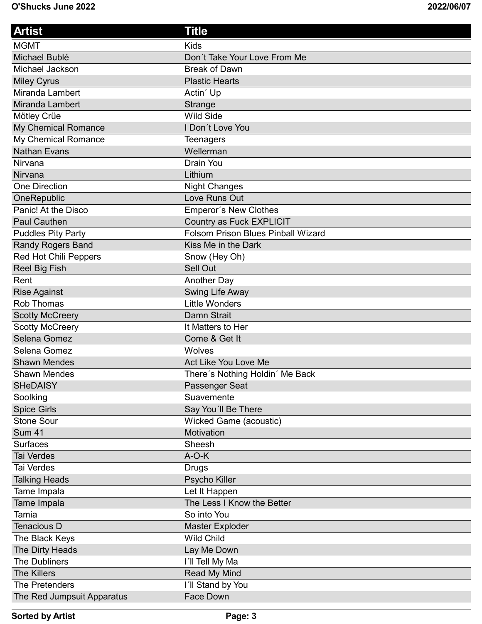| <b>Artist</b>              | Title                                     |
|----------------------------|-------------------------------------------|
| <b>MGMT</b>                | <b>Kids</b>                               |
| Michael Bublé              | Don't Take Your Love From Me              |
| Michael Jackson            | <b>Break of Dawn</b>                      |
| <b>Miley Cyrus</b>         | <b>Plastic Hearts</b>                     |
| Miranda Lambert            | Actin' Up                                 |
| Miranda Lambert            | Strange                                   |
| Mötley Crüe                | <b>Wild Side</b>                          |
| My Chemical Romance        | I Don't Love You                          |
| My Chemical Romance        | <b>Teenagers</b>                          |
| <b>Nathan Evans</b>        | Wellerman                                 |
| Nirvana                    | Drain You                                 |
| Nirvana                    | Lithium                                   |
| One Direction              | <b>Night Changes</b>                      |
| OneRepublic                | Love Runs Out                             |
| Panic! At the Disco        | Emperor's New Clothes                     |
| <b>Paul Cauthen</b>        | Country as Fuck EXPLICIT                  |
| <b>Puddles Pity Party</b>  | <b>Folsom Prison Blues Pinball Wizard</b> |
| Randy Rogers Band          | Kiss Me in the Dark                       |
| Red Hot Chili Peppers      | Snow (Hey Oh)                             |
| Reel Big Fish              | Sell Out                                  |
| Rent                       | Another Day                               |
| <b>Rise Against</b>        | Swing Life Away                           |
| <b>Rob Thomas</b>          | <b>Little Wonders</b>                     |
| <b>Scotty McCreery</b>     | Damn Strait                               |
| <b>Scotty McCreery</b>     | It Matters to Her                         |
| Selena Gomez               | Come & Get It                             |
| Selena Gomez               | Wolves                                    |
| <b>Shawn Mendes</b>        | Act Like You Love Me                      |
| <b>Shawn Mendes</b>        | There's Nothing Holdin' Me Back           |
| <b>SHeDAISY</b>            | Passenger Seat                            |
| Soolking                   | Suavemente                                |
| <b>Spice Girls</b>         | Say You'll Be There                       |
| <b>Stone Sour</b>          | Wicked Game (acoustic)                    |
| <b>Sum 41</b>              | Motivation                                |
| <b>Surfaces</b>            | Sheesh                                    |
| Tai Verdes                 | $A-O-K$                                   |
| Tai Verdes                 | <b>Drugs</b>                              |
| <b>Talking Heads</b>       | Psycho Killer                             |
| Tame Impala                | Let It Happen                             |
| Tame Impala                | The Less I Know the Better                |
| Tamia                      | So into You                               |
| Tenacious D                | <b>Master Exploder</b>                    |
| The Black Keys             | <b>Wild Child</b>                         |
| The Dirty Heads            | Lay Me Down                               |
| <b>The Dubliners</b>       | I'll Tell My Ma                           |
| <b>The Killers</b>         | Read My Mind                              |
| The Pretenders             | I'll Stand by You                         |
| The Red Jumpsuit Apparatus | <b>Face Down</b>                          |

**Sorted by Artist Page: 3**